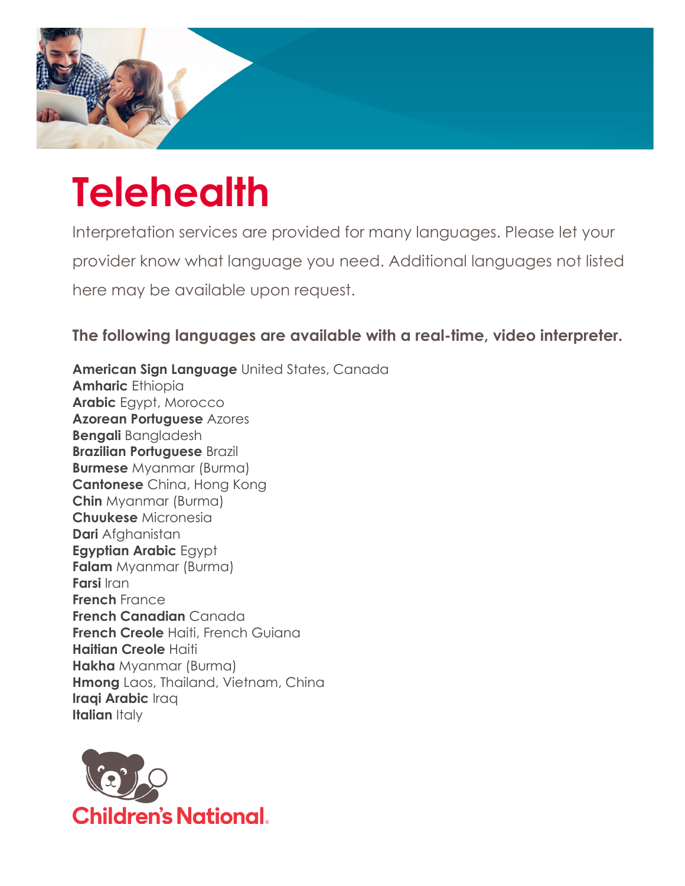

## **Telehealth**

Interpretation services are provided for many languages. Please let your provider know what language you need. Additional languages not listed here may be available upon request.

**The following languages are available with a real-time, video interpreter.**

**American Sign Language** United States, Canada **Amharic** Ethiopia **Arabic** Egypt, Morocco **Azorean Portuguese** Azores **Bengali** Bangladesh **Brazilian Portuguese** Brazil **Burmese** Myanmar (Burma) **Cantonese** China, Hong Kong **Chin** Myanmar (Burma) **Chuukese** Micronesia **Dari** Afghanistan **Egyptian Arabic** Egypt **Falam** Myanmar (Burma) **Farsi** Iran **French** France **French Canadian** Canada **French Creole** Haiti, French Guiana **Haitian Creole** Haiti **Hakha** Myanmar (Burma) **Hmong** Laos, Thailand, Vietnam, China **Iraqi Arabic** Iraq **Italian** Italy

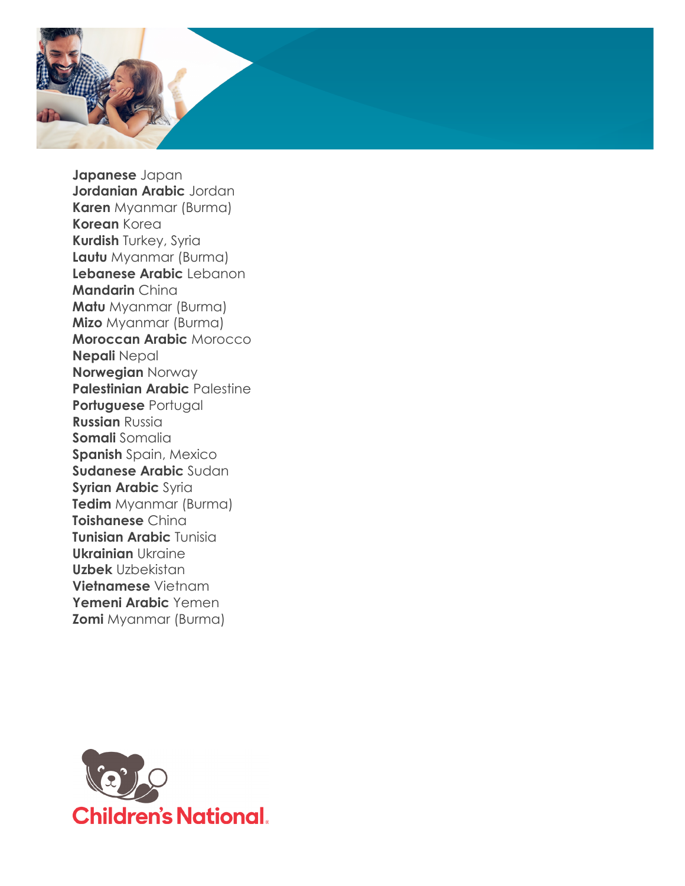

**Japanese** Japan **Jordanian Arabic** Jordan **Karen** Myanmar (Burma) **Korean** Korea **Kurdish** Turkey, Syria **Lautu** Myanmar (Burma) **Lebanese Arabic** Lebanon **Mandarin** China **Matu** Myanmar (Burma) **Mizo** Myanmar (Burma) **Moroccan Arabic** Morocco **Nepali** Nepal **Norwegian** Norway **Palestinian Arabic Palestine Portuguese** Portugal **Russian** Russia **Somali** Somalia **Spanish** Spain, Mexico **Sudanese Arabic** Sudan **Syrian Arabic** Syria **Tedim** Myanmar (Burma) **Toishanese** China **Tunisian Arabic** Tunisia **Ukrainian** Ukraine **Uzbek** Uzbekistan **Vietnamese** Vietnam **Yemeni Arabic** Yemen **Zomi** Myanmar (Burma)

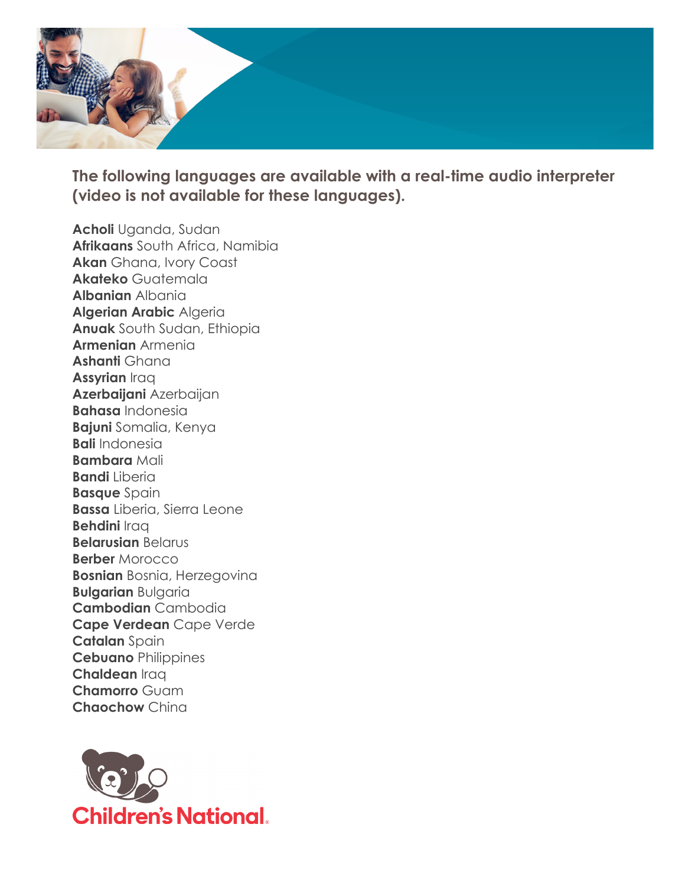

**The following languages are available with a real-time audio interpreter (video is not available for these languages).** 

**Acholi** Uganda, Sudan **Afrikaans** South Africa, Namibia **Akan** Ghana, Ivory Coast **Akateko** Guatemala **Albanian** Albania **Algerian Arabic** Algeria **Anuak** South Sudan, Ethiopia **Armenian** Armenia **Ashanti** Ghana **Assyrian** Iraq **Azerbaijani** Azerbaijan **Bahasa** Indonesia **Bajuni** Somalia, Kenya **Bali** Indonesia **Bambara** Mali **Bandi** Liberia **Basque** Spain **Bassa** Liberia, Sierra Leone **Behdini** Iraq **Belarusian** Belarus **Berber** Morocco **Bosnian** Bosnia, Herzegovina **Bulgarian** Bulgaria **Cambodian** Cambodia **Cape Verdean** Cape Verde **Catalan** Spain **Cebuano** Philippines **Chaldean** Iraq **Chamorro** Guam **Chaochow** China

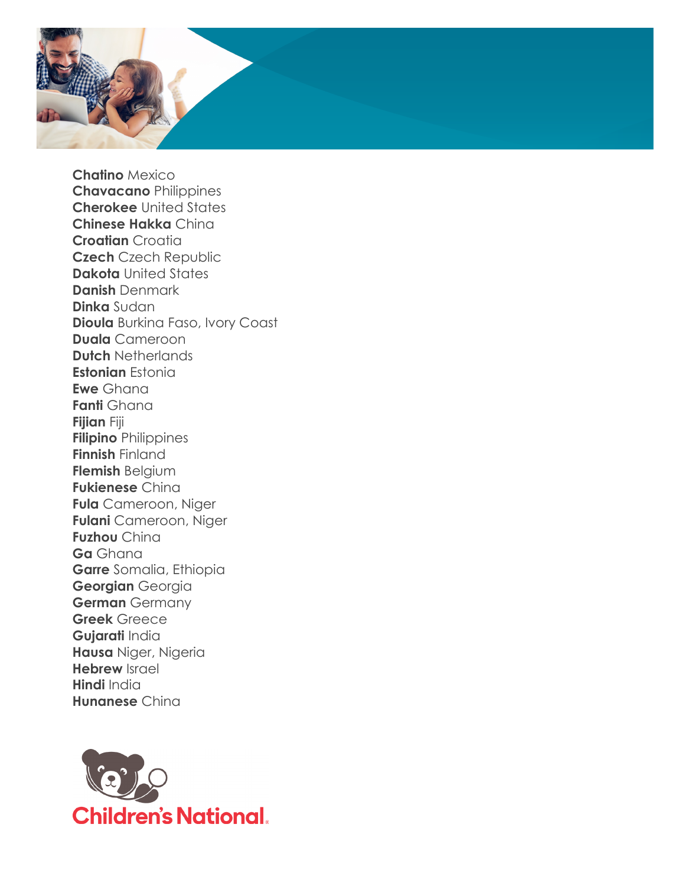

**Chatino** Mexico **Chavacano** Philippines **Cherokee** United States **Chinese Hakka** China **Croatian** Croatia **Czech** Czech Republic **Dakota** United States **Danish** Denmark **Dinka** Sudan **Dioula** Burkina Faso, Ivory Coast **Duala** Cameroon **Dutch** Netherlands **Estonian** Estonia **Ewe** Ghana **Fanti** Ghana **Fijian** Fiji **Filipino** Philippines **Finnish** Finland **Flemish** Belgium **Fukienese** China **Fula** Cameroon, Niger **Fulani** Cameroon, Niger **Fuzhou** China **Ga** Ghana **Garre** Somalia, Ethiopia **Georgian** Georgia **German** Germany **Greek** Greece **Gujarati** India **Hausa** Niger, Nigeria **Hebrew** Israel **Hindi** India **Hunanese** China

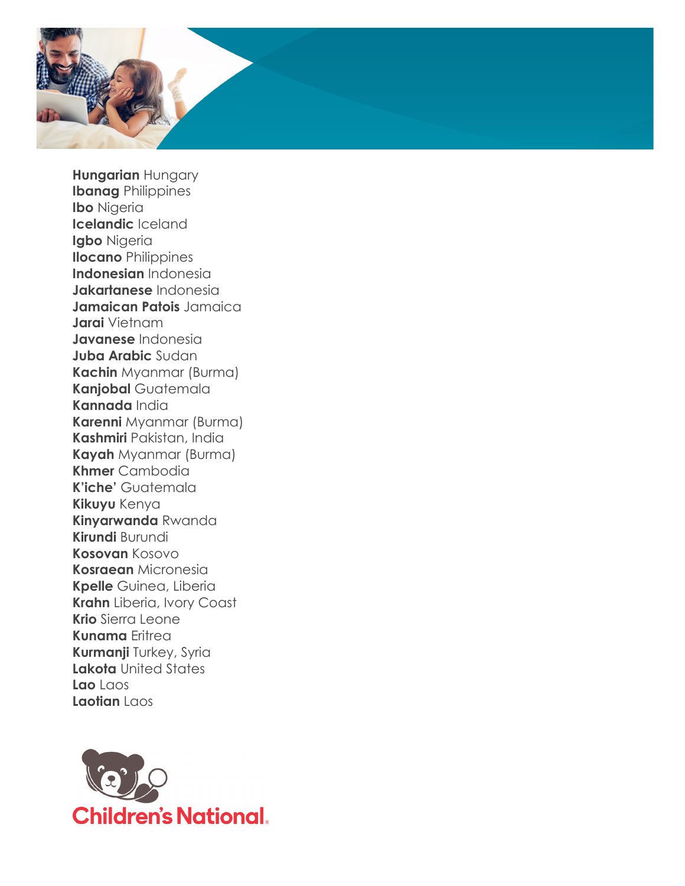

**Hungarian** Hungary **Ibanag** Philippines **Ibo** Nigeria **Icelandic** Iceland **Igbo** Nigeria **Ilocano** Philippines **Indonesian** Indonesia **Jakartanese** Indonesia **Jamaican Patois** Jamaica **Jarai** Vietnam **Javanese** Indonesia **Juba Arabic** Sudan **Kachin** Myanmar (Burma) **Kanjobal** Guatemala **Kannada** India **Karenni** Myanmar (Burma) **Kashmiri** Pakistan, India **Kayah** Myanmar (Burma) **Khmer** Cambodia **K'iche'** Guatemala **Kikuyu** Kenya **Kinyarwanda** Rwanda **Kirundi** Burundi **Kosovan** Kosovo **Kosraean** Micronesia **Kpelle** Guinea, Liberia **Krahn** Liberia, Ivory Coast **Krio** Sierra Leone **Kunama** Eritrea **Kurmanji** Turkey, Syria **Lakota** United States **Lao** Laos **Laotian** Laos

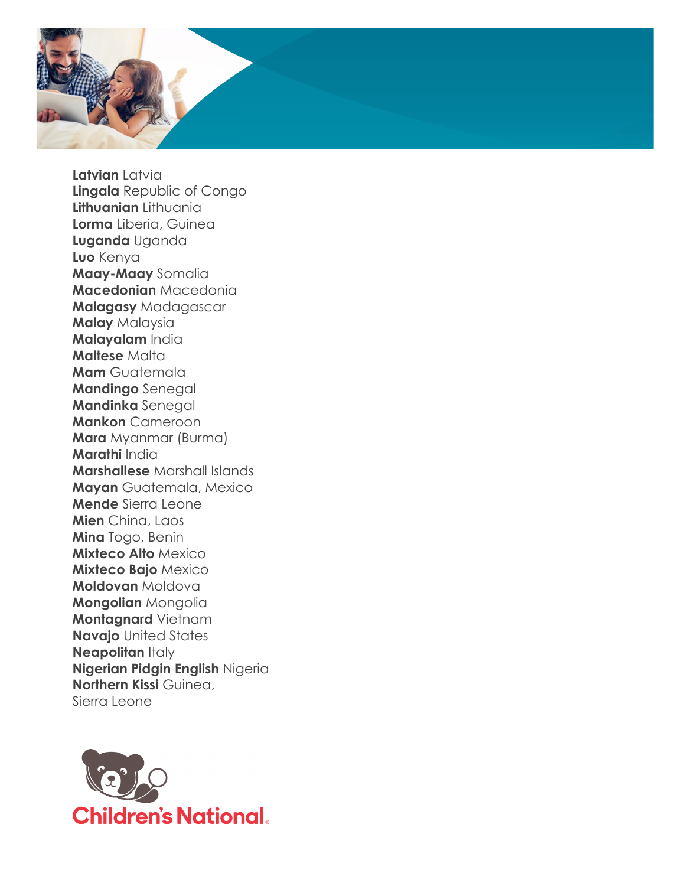

**Latvian** Latvia **Lingala** Republic of Congo **Lithuanian** Lithuania **Lorma** Liberia, Guinea **Luganda** Uganda **Luo** Kenya **Maay-Maay** Somalia **Macedonian** Macedonia **Malagasy** Madagascar **Malay** Malaysia **Malayalam** India **Maltese** Malta **Mam** Guatemala **Mandingo** Senegal **Mandinka** Senegal **Mankon** Cameroon **Mara** Myanmar (Burma) **Marathi** India **Marshallese** Marshall Islands **Mayan** Guatemala, Mexico **Mende** Sierra Leone **Mien** China, Laos **Mina** Togo, Benin **Mixteco Alto** Mexico **Mixteco Bajo** Mexico **Moldovan** Moldova **Mongolian** Mongolia **Montagnard** Vietnam **Navajo** United States **Neapolitan Italy Nigerian Pidgin English** Nigeria **Northern Kissi** Guinea, Sierra Leone

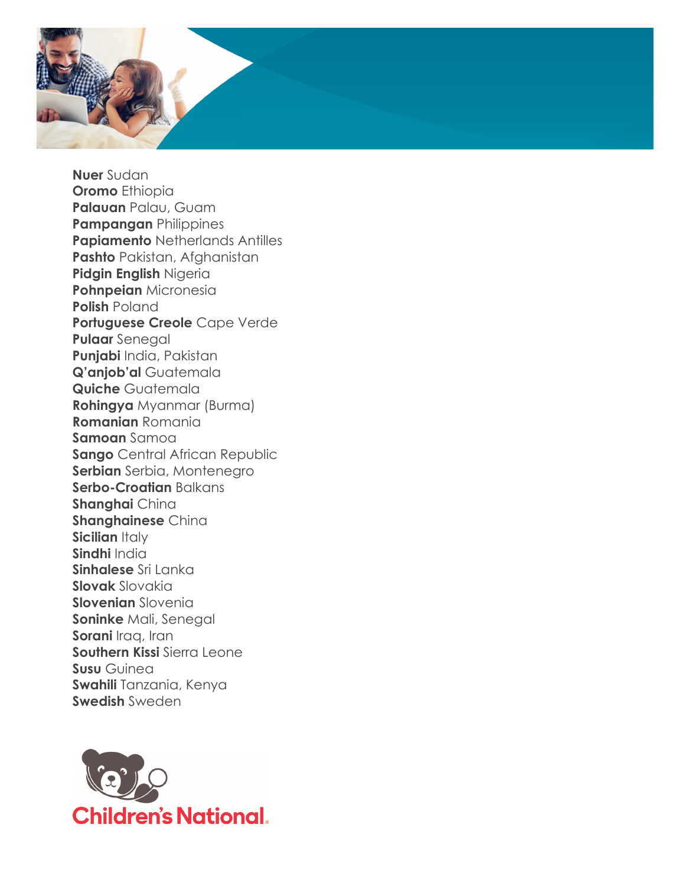

**Nuer** Sudan **Oromo** Ethiopia **Palauan** Palau, Guam **Pampangan** Philippines **Papiamento** Netherlands Antilles **Pashto** Pakistan, Afghanistan **Pidgin English** Nigeria **Pohnpeian** Micronesia **Polish** Poland **Portuguese Creole** Cape Verde **Pulaar** Senegal **Punjabi** India, Pakistan **Q'anjob'al** Guatemala **Quiche** Guatemala **Rohingya** Myanmar (Burma) **Romanian** Romania **Samoan** Samoa **Sango** Central African Republic **Serbian** Serbia, Montenegro **Serbo-Croatian** Balkans **Shanghai** China **Shanghainese** China **Sicilian Italy Sindhi** India **Sinhalese** Sri Lanka **Slovak** Slovakia **Slovenian** Slovenia **Soninke** Mali, Senegal **Sorani** *Iraq*, *Iran* **Southern Kissi** Sierra Leone **Susu** Guinea **Swahili** Tanzania, Kenya **Swedish** Sweden